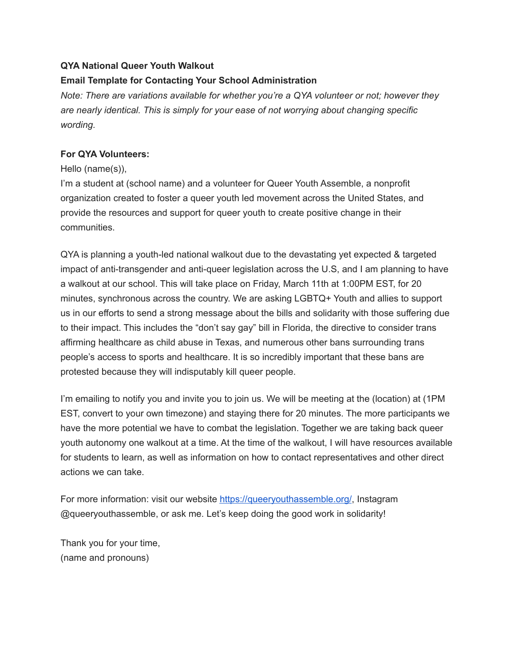## **QYA National Queer Youth Walkout**

### **Email Template for Contacting Your School Administration**

*Note: There are variations available for whether you're a QYA volunteer or not; however they are nearly identical. This is simply for your ease of not worrying about changing specific wording.*

### **For QYA Volunteers:**

#### Hello (name(s)),

I'm a student at (school name) and a volunteer for Queer Youth Assemble, a nonprofit organization created to foster a queer youth led movement across the United States, and provide the resources and support for queer youth to create positive change in their communities.

QYA is planning a youth-led national walkout due to the devastating yet expected & targeted impact of anti-transgender and anti-queer legislation across the U.S, and I am planning to have a walkout at our school. This will take place on Friday, March 11th at 1:00PM EST, for 20 minutes, synchronous across the country. We are asking LGBTQ+ Youth and allies to support us in our efforts to send a strong message about the bills and solidarity with those suffering due to their impact. This includes the "don't say gay" bill in Florida, the directive to consider trans affirming healthcare as child abuse in Texas, and numerous other bans surrounding trans people's access to sports and healthcare. It is so incredibly important that these bans are protested because they will indisputably kill queer people.

I'm emailing to notify you and invite you to join us. We will be meeting at the (location) at (1PM EST, convert to your own timezone) and staying there for 20 minutes. The more participants we have the more potential we have to combat the legislation. Together we are taking back queer youth autonomy one walkout at a time. At the time of the walkout, I will have resources available for students to learn, as well as information on how to contact representatives and other direct actions we can take.

For more information: visit our website <https://queeryouthassemble.org/>, Instagram @queeryouthassemble, or ask me. Let's keep doing the good work in solidarity!

Thank you for your time, (name and pronouns)